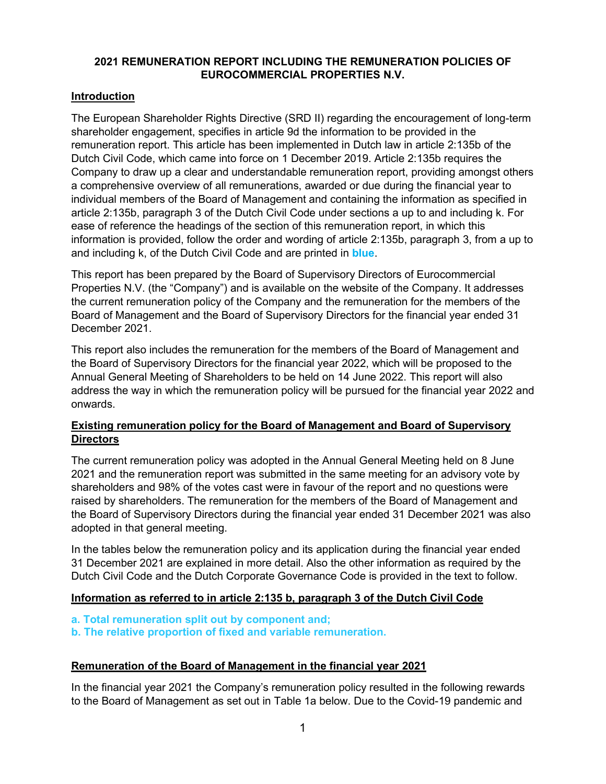# **2021 REMUNERATION REPORT INCLUDING THE REMUNERATION POLICIES OF EUROCOMMERCIAL PROPERTIES N.V.**

# **Introduction**

The European Shareholder Rights Directive (SRD II) regarding the encouragement of long-term shareholder engagement, specifies in article 9d the information to be provided in the remuneration report. This article has been implemented in Dutch law in article 2:135b of the Dutch Civil Code, which came into force on 1 December 2019. Article 2:135b requires the Company to draw up a clear and understandable remuneration report, providing amongst others a comprehensive overview of all remunerations, awarded or due during the financial year to individual members of the Board of Management and containing the information as specified in article 2:135b, paragraph 3 of the Dutch Civil Code under sections a up to and including k. For ease of reference the headings of the section of this remuneration report, in which this information is provided, follow the order and wording of article 2:135b, paragraph 3, from a up to and including k, of the Dutch Civil Code and are printed in **blue**.

This report has been prepared by the Board of Supervisory Directors of Eurocommercial Properties N.V. (the "Company") and is available on the website of the Company. It addresses the current remuneration policy of the Company and the remuneration for the members of the Board of Management and the Board of Supervisory Directors for the financial year ended 31 December 2021.

This report also includes the remuneration for the members of the Board of Management and the Board of Supervisory Directors for the financial year 2022, which will be proposed to the Annual General Meeting of Shareholders to be held on 14 June 2022. This report will also address the way in which the remuneration policy will be pursued for the financial year 2022 and onwards.

# **Existing remuneration policy for the Board of Management and Board of Supervisory Directors**

The current remuneration policy was adopted in the Annual General Meeting held on 8 June 2021 and the remuneration report was submitted in the same meeting for an advisory vote by shareholders and 98% of the votes cast were in favour of the report and no questions were raised by shareholders. The remuneration for the members of the Board of Management and the Board of Supervisory Directors during the financial year ended 31 December 2021 was also adopted in that general meeting.

In the tables below the remuneration policy and its application during the financial year ended 31 December 2021 are explained in more detail. Also the other information as required by the Dutch Civil Code and the Dutch Corporate Governance Code is provided in the text to follow.

# **Information as referred to in article 2:135 b, paragraph 3 of the Dutch Civil Code**

- **a. Total remuneration split out by component and;**
- **b. The relative proportion of fixed and variable remuneration.**

# **Remuneration of the Board of Management in the financial year 2021**

In the financial year 2021 the Company's remuneration policy resulted in the following rewards to the Board of Management as set out in Table 1a below. Due to the Covid-19 pandemic and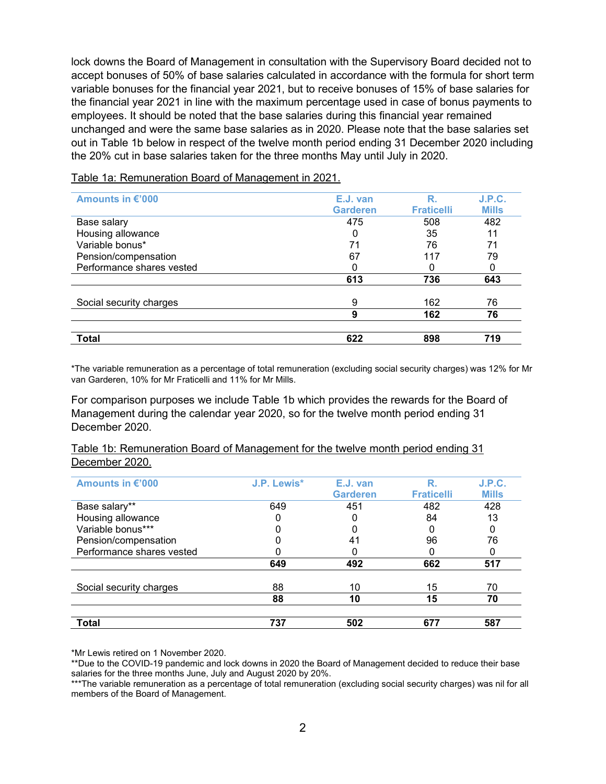lock downs the Board of Management in consultation with the Supervisory Board decided not to accept bonuses of 50% of base salaries calculated in accordance with the formula for short term variable bonuses for the financial year 2021, but to receive bonuses of 15% of base salaries for the financial year 2021 in line with the maximum percentage used in case of bonus payments to employees. It should be noted that the base salaries during this financial year remained unchanged and were the same base salaries as in 2020. Please note that the base salaries set out in Table 1b below in respect of the twelve month period ending 31 December 2020 including the 20% cut in base salaries taken for the three months May until July in 2020.

| Amounts in €'000          | E.J. van        | R                 | <b>J.P.C.</b> |
|---------------------------|-----------------|-------------------|---------------|
|                           | <b>Garderen</b> | <b>Fraticelli</b> | <b>Mills</b>  |
| Base salary               | 475             | 508               | 482           |
| Housing allowance         |                 | 35                | 11            |
| Variable bonus*           | 71              | 76                | 71            |
| Pension/compensation      | 67              | 117               | 79            |
| Performance shares vested |                 |                   |               |
|                           | 613             | 736               | 643           |
| Social security charges   | 9               | 162               | 76            |
|                           | 9               | 162               | 76            |
| Total                     | 622             | 898               | 719           |

Table 1a: Remuneration Board of Management in 2021.

\*The variable remuneration as a percentage of total remuneration (excluding social security charges) was 12% for Mr van Garderen, 10% for Mr Fraticelli and 11% for Mr Mills.

For comparison purposes we include Table 1b which provides the rewards for the Board of Management during the calendar year 2020, so for the twelve month period ending 31 December 2020.

# Table 1b: Remuneration Board of Management for the twelve month period ending 31 December 2020.

| Amounts in €'000          | <b>J.P. Lewis*</b> | E.J. van        | R                 | J.P.C.       |
|---------------------------|--------------------|-----------------|-------------------|--------------|
|                           |                    | <b>Garderen</b> | <b>Fraticelli</b> | <b>Mills</b> |
| Base salary**             | 649                | 451             | 482               | 428          |
| Housing allowance         |                    |                 | 84                | 13           |
| Variable bonus***         |                    |                 |                   |              |
| Pension/compensation      |                    | 41              | 96                | 76           |
| Performance shares vested |                    |                 |                   |              |
|                           | 649                | 492             | 662               | 517          |
| Social security charges   | 88                 | 10              | 15                | 70           |
|                           | 88                 | 10              | 15                | 70           |
| Total                     | 737                | 502             | 677               | 587          |

\*Mr Lewis retired on 1 November 2020.

\*\*Due to the COVID-19 pandemic and lock downs in 2020 the Board of Management decided to reduce their base salaries for the three months June, July and August 2020 by 20%.

\*\*\*The variable remuneration as a percentage of total remuneration (excluding social security charges) was nil for all members of the Board of Management.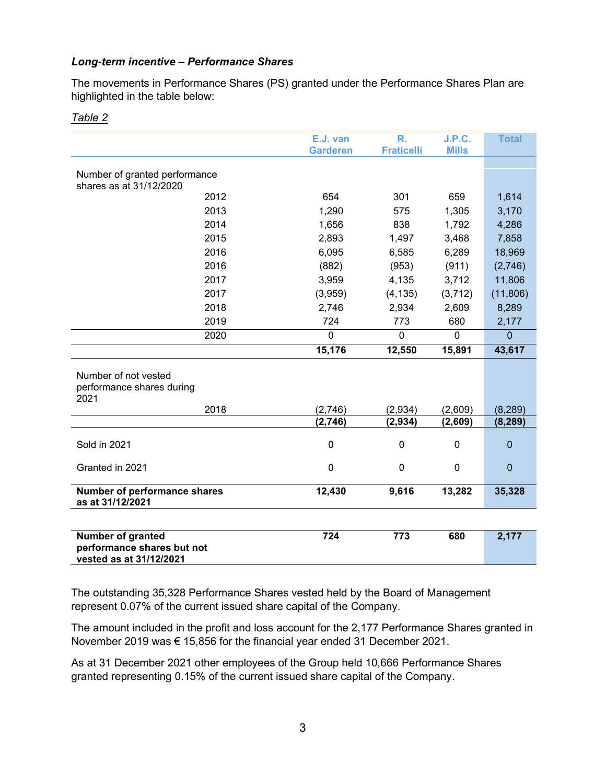# *Long-term incentive – Performance Shares*

The movements in Performance Shares (PS) granted under the Performance Shares Plan are highlighted in the table below:

|                                     | E.J. van        | $\overline{\mathsf{R}}$ . | J.P.C.       | <b>Total</b>   |
|-------------------------------------|-----------------|---------------------------|--------------|----------------|
|                                     | <b>Garderen</b> | <b>Fraticelli</b>         | <b>Mills</b> |                |
|                                     |                 |                           |              |                |
| Number of granted performance       |                 |                           |              |                |
| shares as at 31/12/2020             |                 |                           |              |                |
| 2012                                | 654             | 301                       | 659          | 1,614          |
| 2013                                | 1,290           | 575                       | 1,305        | 3,170          |
| 2014                                | 1,656           | 838                       | 1,792        | 4,286          |
| 2015                                | 2,893           | 1,497                     | 3,468        | 7,858          |
| 2016                                | 6,095           | 6,585                     | 6,289        | 18,969         |
| 2016                                | (882)           | (953)                     | (911)        | (2,746)        |
| 2017                                | 3,959           | 4,135                     | 3,712        | 11,806         |
| 2017                                | (3,959)         | (4, 135)                  | (3,712)      | (11, 806)      |
| 2018                                | 2,746           | 2,934                     | 2,609        | 8,289          |
| 2019                                | 724             | 773                       | 680          | 2,177          |
| 2020                                | $\overline{0}$  | $\mathbf 0$               | $\mathbf 0$  | $\overline{0}$ |
|                                     | 15,176          | 12,550                    | 15,891       | 43,617         |
|                                     |                 |                           |              |                |
| Number of not vested                |                 |                           |              |                |
| performance shares during           |                 |                           |              |                |
| 2021                                |                 |                           |              |                |
| 2018                                | (2,746)         | (2,934)                   | (2,609)      | (8, 289)       |
|                                     | (2,746)         | (2, 934)                  | (2,609)      | (8, 289)       |
| Sold in 2021                        | 0               | 0                         | 0            | $\mathbf 0$    |
|                                     |                 |                           |              |                |
| Granted in 2021                     | $\mathbf 0$     | 0                         | $\mathbf 0$  | $\mathbf 0$    |
|                                     |                 |                           |              |                |
| <b>Number of performance shares</b> | 12,430          | 9,616                     | 13,282       | 35,328         |
| as at 31/12/2021                    |                 |                           |              |                |
|                                     |                 |                           |              |                |
| Number of granted                   | 724             | 773                       | 680          | 2,177          |
| performance shares but not          |                 |                           |              |                |
| vested as at 31/12/2021             |                 |                           |              |                |

# *Table 2*

The outstanding 35,328 Performance Shares vested held by the Board of Management represent 0.07% of the current issued share capital of the Company.

The amount included in the profit and loss account for the 2,177 Performance Shares granted in November 2019 was € 15,856 for the financial year ended 31 December 2021.

As at 31 December 2021 other employees of the Group held 10,666 Performance Shares granted representing 0.15% of the current issued share capital of the Company.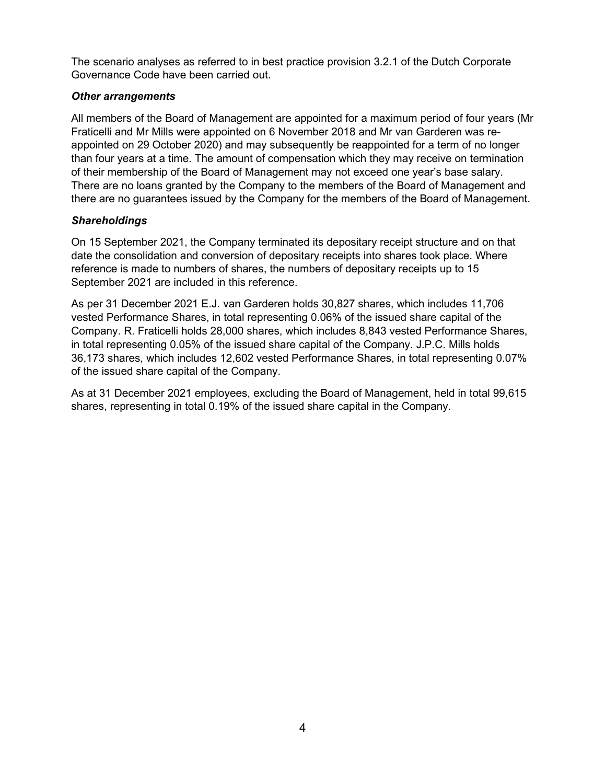The scenario analyses as referred to in best practice provision 3.2.1 of the Dutch Corporate Governance Code have been carried out.

# *Other arrangements*

All members of the Board of Management are appointed for a maximum period of four years (Mr Fraticelli and Mr Mills were appointed on 6 November 2018 and Mr van Garderen was reappointed on 29 October 2020) and may subsequently be reappointed for a term of no longer than four years at a time. The amount of compensation which they may receive on termination of their membership of the Board of Management may not exceed one year's base salary. There are no loans granted by the Company to the members of the Board of Management and there are no guarantees issued by the Company for the members of the Board of Management.

# *Shareholdings*

On 15 September 2021, the Company terminated its depositary receipt structure and on that date the consolidation and conversion of depositary receipts into shares took place. Where reference is made to numbers of shares, the numbers of depositary receipts up to 15 September 2021 are included in this reference.

As per 31 December 2021 E.J. van Garderen holds 30,827 shares, which includes 11,706 vested Performance Shares, in total representing 0.06% of the issued share capital of the Company. R. Fraticelli holds 28,000 shares, which includes 8,843 vested Performance Shares, in total representing 0.05% of the issued share capital of the Company. J.P.C. Mills holds 36,173 shares, which includes 12,602 vested Performance Shares, in total representing 0.07% of the issued share capital of the Company.

As at 31 December 2021 employees, excluding the Board of Management, held in total 99,615 shares, representing in total 0.19% of the issued share capital in the Company.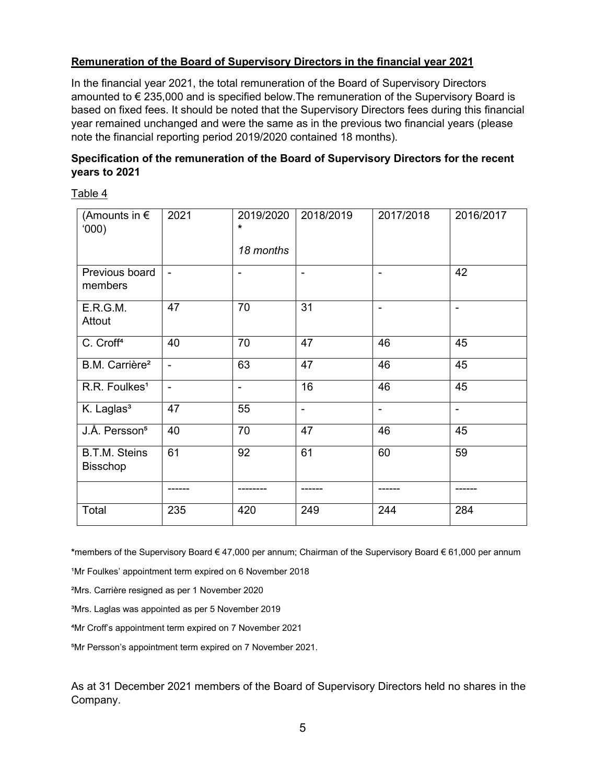# **Remuneration of the Board of Supervisory Directors in the financial year 2021**

In the financial year 2021, the total remuneration of the Board of Supervisory Directors amounted to € 235,000 and is specified below.The remuneration of the Supervisory Board is based on fixed fees. It should be noted that the Supervisory Directors fees during this financial year remained unchanged and were the same as in the previous two financial years (please note the financial reporting period 2019/2020 contained 18 months).

# **Specification of the remuneration of the Board of Supervisory Directors for the recent years to 2021**

Table 4

| (Amounts in $\epsilon$<br>(000)         | 2021           | 2019/2020<br>$\star$ | 2018/2019      | 2017/2018      | 2016/2017      |
|-----------------------------------------|----------------|----------------------|----------------|----------------|----------------|
|                                         |                | 18 months            |                |                |                |
| Previous board<br>members               | $\blacksquare$ |                      |                | ۰              | 42             |
| E.R.G.M.<br>Attout                      | 47             | 70                   | 31             | $\blacksquare$ |                |
| C. Croff <sup>4</sup>                   | 40             | 70                   | 47             | 46             | 45             |
| B.M. Carrière <sup>2</sup>              | $\blacksquare$ | 63                   | 47             | 46             | 45             |
| R.R. Foulkes <sup>1</sup>               | $\blacksquare$ | ۰                    | 16             | 46             | 45             |
| K. Laglas <sup>3</sup>                  | 47             | 55                   | $\blacksquare$ | $\blacksquare$ | $\blacksquare$ |
| J.Å. Persson <sup>5</sup>               | 40             | 70                   | 47             | 46             | 45             |
| <b>B.T.M. Steins</b><br><b>Bisschop</b> | 61             | 92                   | 61             | 60             | 59             |
|                                         |                |                      | ------         | -----          |                |
| Total                                   | 235            | 420                  | 249            | 244            | 284            |

**\***members of the Supervisory Board € 47,000 per annum; Chairman of the Supervisory Board € 61,000 per annum

<sup>1</sup>Mr Foulkes' appointment term expired on 6 November 2018

²Mrs. Carrière resigned as per 1 November 2020

<sup>3</sup>Mrs. Laglas was appointed as per 5 November 2019

⁴Mr Croff's appointment term expired on 7 November 2021

⁵Mr Persson's appointment term expired on 7 November 2021.

As at 31 December 2021 members of the Board of Supervisory Directors held no shares in the Company.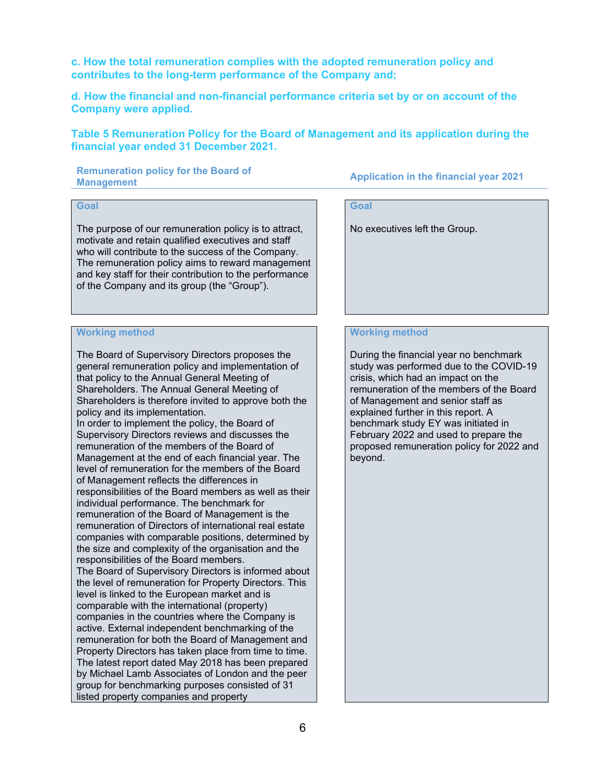**c. How the total remuneration complies with the adopted remuneration policy and contributes to the long-term performance of the Company and;**

**d. How the financial and non-financial performance criteria set by or on account of the Company were applied.** 

**Table 5 Remuneration Policy for the Board of Management and its application during the financial year ended 31 December 2021.** 

**Remuneration policy for the Board of** 

**Management Application in the financial year 2021** 

# **Goal**

The purpose of our remuneration policy is to attract, motivate and retain qualified executives and staff who will contribute to the success of the Company. The remuneration policy aims to reward management and key staff for their contribution to the performance of the Company and its group (the "Group").

### **Working method**

The Board of Supervisory Directors proposes the general remuneration policy and implementation of that policy to the Annual General Meeting of Shareholders. The Annual General Meeting of Shareholders is therefore invited to approve both the policy and its implementation.

In order to implement the policy, the Board of Supervisory Directors reviews and discusses the remuneration of the members of the Board of Management at the end of each financial year. The level of remuneration for the members of the Board of Management reflects the differences in responsibilities of the Board members as well as their individual performance. The benchmark for remuneration of the Board of Management is the remuneration of Directors of international real estate companies with comparable positions, determined by the size and complexity of the organisation and the responsibilities of the Board members. The Board of Supervisory Directors is informed about the level of remuneration for Property Directors. This level is linked to the European market and is comparable with the international (property) companies in the countries where the Company is active. External independent benchmarking of the remuneration for both the Board of Management and Property Directors has taken place from time to time. The latest report dated May 2018 has been prepared by Michael Lamb Associates of London and the peer group for benchmarking purposes consisted of 31 listed property companies and property

# **Goal**

No executives left the Group.

### **Working method**

During the financial year no benchmark study was performed due to the COVID-19 crisis, which had an impact on the remuneration of the members of the Board of Management and senior staff as explained further in this report. A benchmark study EY was initiated in February 2022 and used to prepare the proposed remuneration policy for 2022 and beyond.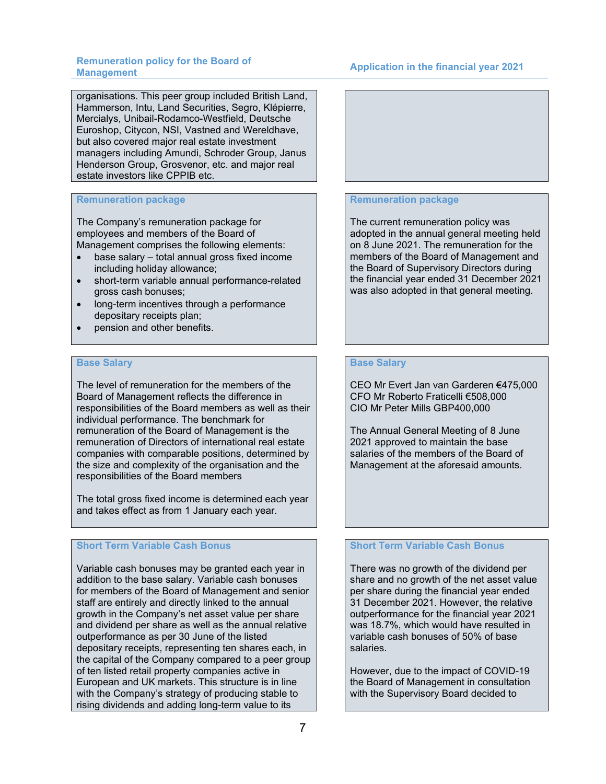# **Management Application in the financial year 2021**

organisations. This peer group included British Land, Hammerson, Intu, Land Securities, Segro, Klépierre, Mercialys, Unibail-Rodamco-Westfield, Deutsche Euroshop, Citycon, NSI, Vastned and Wereldhave, but also covered major real estate investment managers including Amundi, Schroder Group, Janus Henderson Group, Grosvenor, etc. and major real estate investors like CPPIB etc.

# **Remuneration package**

The Company's remuneration package for employees and members of the Board of Management comprises the following elements:

- base salary total annual gross fixed income including holiday allowance;
- short-term variable annual performance-related gross cash bonuses;
- long-term incentives through a performance depositary receipts plan;
- pension and other benefits.

### **Base Salary**

The level of remuneration for the members of the Board of Management reflects the difference in responsibilities of the Board members as well as their individual performance. The benchmark for remuneration of the Board of Management is the remuneration of Directors of international real estate companies with comparable positions, determined by the size and complexity of the organisation and the responsibilities of the Board members

The total gross fixed income is determined each year and takes effect as from 1 January each year.

# **Short Term Variable Cash Bonus**

Variable cash bonuses may be granted each year in addition to the base salary. Variable cash bonuses for members of the Board of Management and senior staff are entirely and directly linked to the annual growth in the Company's net asset value per share and dividend per share as well as the annual relative outperformance as per 30 June of the listed depositary receipts, representing ten shares each, in the capital of the Company compared to a peer group of ten listed retail property companies active in European and UK markets. This structure is in line with the Company's strategy of producing stable to rising dividends and adding long-term value to its



### **Remuneration package**

The current remuneration policy was adopted in the annual general meeting held on 8 June 2021. The remuneration for the members of the Board of Management and the Board of Supervisory Directors during the financial year ended 31 December 2021 was also adopted in that general meeting.

### **Base Salary**

CEO Mr Evert Jan van Garderen €475,000 CFO Mr Roberto Fraticelli €508,000 CIO Mr Peter Mills GBP400,000

The Annual General Meeting of 8 June 2021 approved to maintain the base salaries of the members of the Board of Management at the aforesaid amounts.

# **Short Term Variable Cash Bonus**

There was no growth of the dividend per share and no growth of the net asset value per share during the financial year ended 31 December 2021. However, the relative outperformance for the financial year 2021 was 18.7%, which would have resulted in variable cash bonuses of 50% of base salaries.

However, due to the impact of COVID-19 the Board of Management in consultation with the Supervisory Board decided to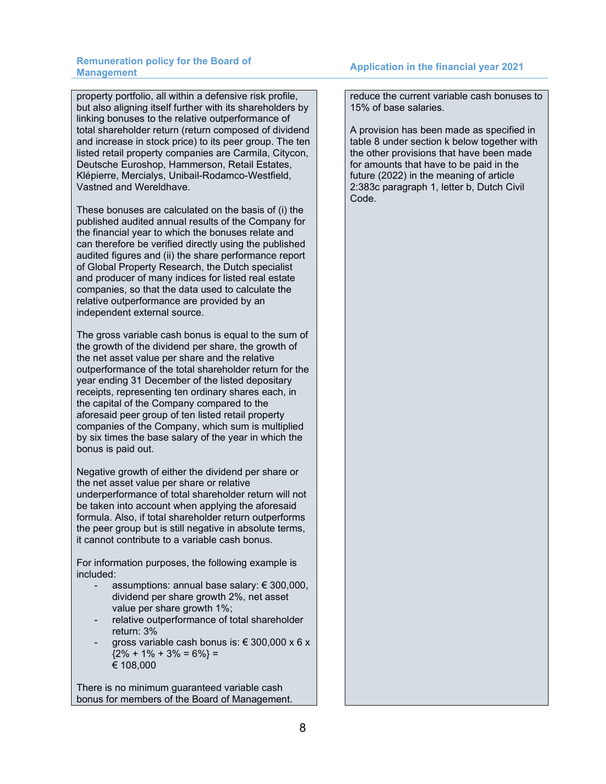property portfolio, all within a defensive risk profile, but also aligning itself further with its shareholders by linking bonuses to the relative outperformance of total shareholder return (return composed of dividend and increase in stock price) to its peer group. The ten listed retail property companies are Carmila, Citycon, Deutsche Euroshop, Hammerson, Retail Estates, Klépierre, Mercialys, Unibail-Rodamco-Westfield, Vastned and Wereldhave.

These bonuses are calculated on the basis of (i) the published audited annual results of the Company for the financial year to which the bonuses relate and can therefore be verified directly using the published audited figures and (ii) the share performance report of Global Property Research, the Dutch specialist and producer of many indices for listed real estate companies, so that the data used to calculate the relative outperformance are provided by an independent external source.

The gross variable cash bonus is equal to the sum of the growth of the dividend per share, the growth of the net asset value per share and the relative outperformance of the total shareholder return for the year ending 31 December of the listed depositary receipts, representing ten ordinary shares each, in the capital of the Company compared to the aforesaid peer group of ten listed retail property companies of the Company, which sum is multiplied by six times the base salary of the year in which the bonus is paid out.

Negative growth of either the dividend per share or the net asset value per share or relative underperformance of total shareholder return will not be taken into account when applying the aforesaid formula. Also, if total shareholder return outperforms the peer group but is still negative in absolute terms, it cannot contribute to a variable cash bonus.

For information purposes, the following example is included:

- assumptions: annual base salary:  $\epsilon$  300,000, dividend per share growth 2%, net asset value per share growth 1%;
- relative outperformance of total shareholder return: 3%
- gross variable cash bonus is:  $\epsilon$  300,000 x 6 x  ${2\% + 1\% + 3\% = 6\%}$  = € 108,000

There is no minimum guaranteed variable cash bonus for members of the Board of Management. reduce the current variable cash bonuses to 15% of base salaries.

A provision has been made as specified in table 8 under section k below together with the other provisions that have been made for amounts that have to be paid in the future (2022) in the meaning of article 2:383c paragraph 1, letter b, Dutch Civil Code.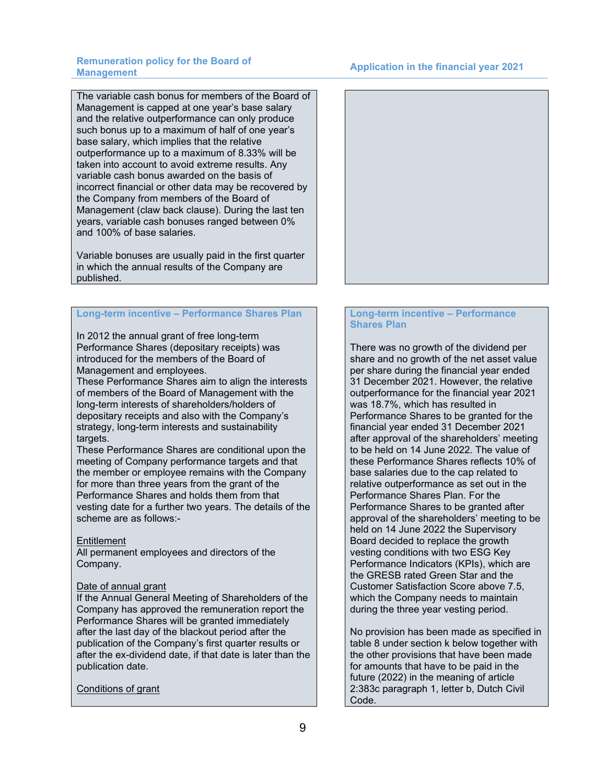# **Management Application in the financial year 2021**

The variable cash bonus for members of the Board of Management is capped at one year's base salary and the relative outperformance can only produce such bonus up to a maximum of half of one year's base salary, which implies that the relative outperformance up to a maximum of 8.33% will be taken into account to avoid extreme results. Any variable cash bonus awarded on the basis of incorrect financial or other data may be recovered by the Company from members of the Board of Management (claw back clause). During the last ten years, variable cash bonuses ranged between 0% and 100% of base salaries.

Variable bonuses are usually paid in the first quarter in which the annual results of the Company are published.

### **Long-term incentive – Performance Shares Plan**

In 2012 the annual grant of free long-term Performance Shares (depositary receipts) was introduced for the members of the Board of Management and employees.

These Performance Shares aim to align the interests of members of the Board of Management with the long-term interests of shareholders/holders of depositary receipts and also with the Company's strategy, long-term interests and sustainability targets.

These Performance Shares are conditional upon the meeting of Company performance targets and that the member or employee remains with the Company for more than three years from the grant of the Performance Shares and holds them from that vesting date for a further two years. The details of the scheme are as follows:-

# **Entitlement**

All permanent employees and directors of the Company.

### Date of annual grant

If the Annual General Meeting of Shareholders of the Company has approved the remuneration report the Performance Shares will be granted immediately after the last day of the blackout period after the publication of the Company's first quarter results or after the ex-dividend date, if that date is later than the publication date.

# Conditions of grant



# **Long-term incentive – Performance Shares Plan**

There was no growth of the dividend per share and no growth of the net asset value per share during the financial year ended 31 December 2021. However, the relative outperformance for the financial year 2021 was 18.7%, which has resulted in Performance Shares to be granted for the financial year ended 31 December 2021 after approval of the shareholders' meeting to be held on 14 June 2022. The value of these Performance Shares reflects 10% of base salaries due to the cap related to relative outperformance as set out in the Performance Shares Plan. For the Performance Shares to be granted after approval of the shareholders' meeting to be held on 14 June 2022 the Supervisory Board decided to replace the growth vesting conditions with two ESG Key Performance Indicators (KPIs), which are the GRESB rated Green Star and the Customer Satisfaction Score above 7.5, which the Company needs to maintain during the three year vesting period.

No provision has been made as specified in table 8 under section k below together with the other provisions that have been made for amounts that have to be paid in the future (2022) in the meaning of article 2:383c paragraph 1, letter b, Dutch Civil Code.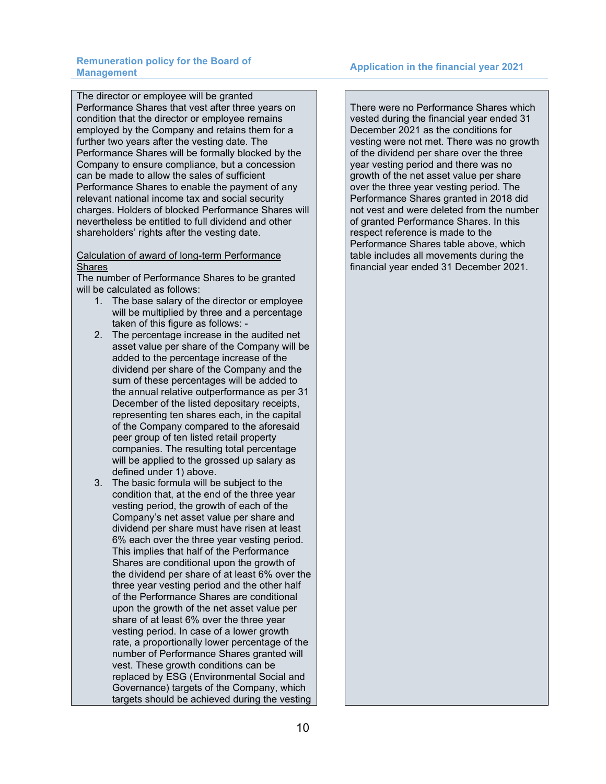The director or employee will be granted Performance Shares that vest after three years on condition that the director or employee remains employed by the Company and retains them for a further two years after the vesting date. The Performance Shares will be formally blocked by the Company to ensure compliance, but a concession can be made to allow the sales of sufficient Performance Shares to enable the payment of any relevant national income tax and social security charges. Holders of blocked Performance Shares will nevertheless be entitled to full dividend and other shareholders' rights after the vesting date.

### Calculation of award of long-term Performance **Shares**

The number of Performance Shares to be granted will be calculated as follows:

- 1. The base salary of the director or employee will be multiplied by three and a percentage taken of this figure as follows: -
- 2. The percentage increase in the audited net asset value per share of the Company will be added to the percentage increase of the dividend per share of the Company and the sum of these percentages will be added to the annual relative outperformance as per 31 December of the listed depositary receipts, representing ten shares each, in the capital of the Company compared to the aforesaid peer group of ten listed retail property companies. The resulting total percentage will be applied to the grossed up salary as defined under 1) above.
- 3. The basic formula will be subject to the condition that, at the end of the three year vesting period, the growth of each of the Company's net asset value per share and dividend per share must have risen at least 6% each over the three year vesting period. This implies that half of the Performance Shares are conditional upon the growth of the dividend per share of at least 6% over the three year vesting period and the other half of the Performance Shares are conditional upon the growth of the net asset value per share of at least 6% over the three year vesting period. In case of a lower growth rate, a proportionally lower percentage of the number of Performance Shares granted will vest. These growth conditions can be replaced by ESG (Environmental Social and Governance) targets of the Company, which targets should be achieved during the vesting

There were no Performance Shares which vested during the financial year ended 31 December 2021 as the conditions for vesting were not met. There was no growth of the dividend per share over the three year vesting period and there was no growth of the net asset value per share over the three year vesting period. The Performance Shares granted in 2018 did not vest and were deleted from the number of granted Performance Shares. In this respect reference is made to the Performance Shares table above, which table includes all movements during the financial year ended 31 December 2021.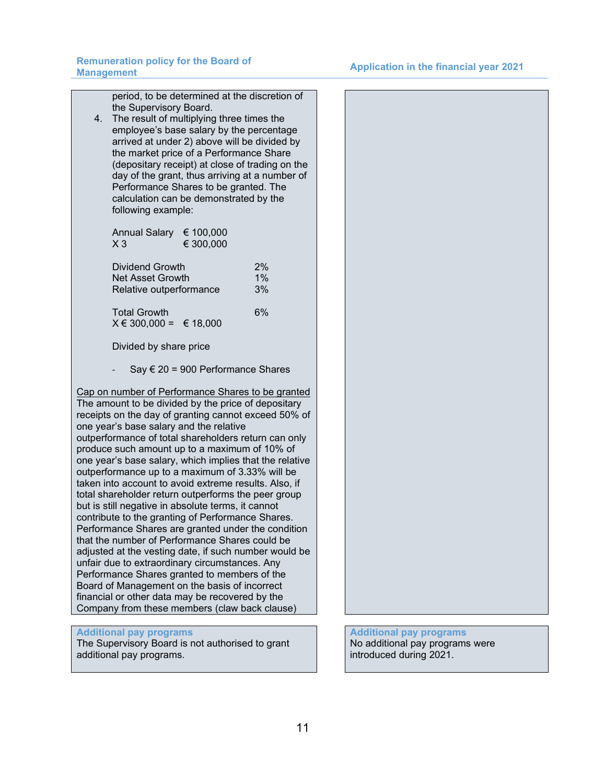period, to be determined at the discretion of the Supervisory Board.

4. The result of multiplying three times the employee's base salary by the percentage arrived at under 2) above will be divided by the market price of a Performance Share (depositary receipt) at close of trading on the day of the grant, thus arriving at a number of Performance Shares to be granted. The calculation can be demonstrated by the following example:

Annual Salary  $€ 100,000$ <br> $X 3$   $€ 300,000$  $€ 300,000$ 

| Dividend Growth                                     | 2% |
|-----------------------------------------------------|----|
| Net Asset Growth                                    | 1% |
| Relative outperformance                             |    |
| <b>Total Growth</b><br>$X \in 300,000 = \in 18,000$ | 6% |

Divided by share price

Say  $\epsilon$  20 = 900 Performance Shares

Cap on number of Performance Shares to be granted The amount to be divided by the price of depositary receipts on the day of granting cannot exceed 50% of one year's base salary and the relative outperformance of total shareholders return can only produce such amount up to a maximum of 10% of one year's base salary, which implies that the relative outperformance up to a maximum of 3.33% will be taken into account to avoid extreme results. Also, if total shareholder return outperforms the peer group but is still negative in absolute terms, it cannot contribute to the granting of Performance Shares. Performance Shares are granted under the condition that the number of Performance Shares could be adjusted at the vesting date, if such number would be unfair due to extraordinary circumstances. Any Performance Shares granted to members of the Board of Management on the basis of incorrect financial or other data may be recovered by the Company from these members (claw back clause)

# **Additional pay programs**

The Supervisory Board is not authorised to grant additional pay programs.

# **Additional pay programs** No additional pay programs were introduced during 2021.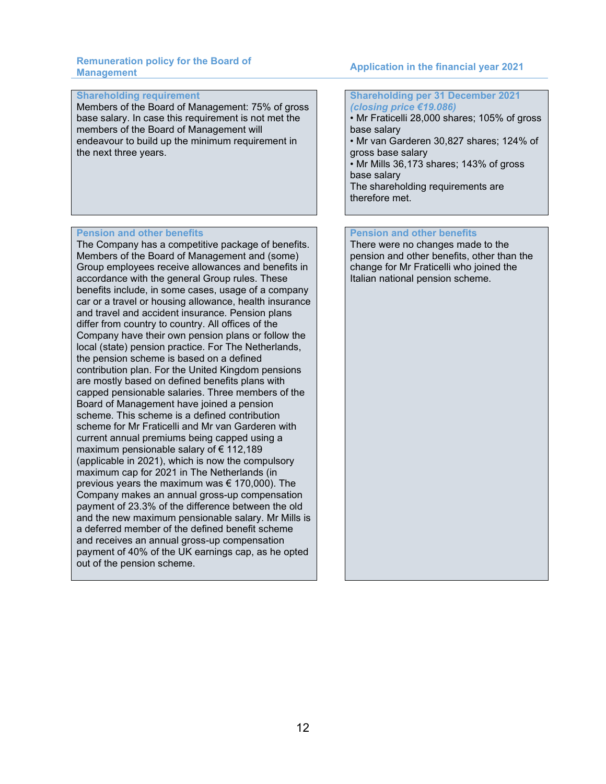# **Shareholding requirement**

Members of the Board of Management: 75% of gross base salary. In case this requirement is not met the members of the Board of Management will endeavour to build up the minimum requirement in the next three years.

# **Pension and other benefits**

The Company has a competitive package of benefits. Members of the Board of Management and (some) Group employees receive allowances and benefits in accordance with the general Group rules. These benefits include, in some cases, usage of a company car or a travel or housing allowance, health insurance and travel and accident insurance. Pension plans differ from country to country. All offices of the Company have their own pension plans or follow the local (state) pension practice. For The Netherlands, the pension scheme is based on a defined contribution plan. For the United Kingdom pensions are mostly based on defined benefits plans with capped pensionable salaries. Three members of the Board of Management have joined a pension scheme. This scheme is a defined contribution scheme for Mr Fraticelli and Mr van Garderen with current annual premiums being capped using a maximum pensionable salary of € 112,189 (applicable in 2021), which is now the compulsory maximum cap for 2021 in The Netherlands (in previous years the maximum was  $\epsilon$  170,000). The Company makes an annual gross-up compensation payment of 23.3% of the difference between the old and the new maximum pensionable salary. Mr Mills is a deferred member of the defined benefit scheme and receives an annual gross-up compensation payment of 40% of the UK earnings cap, as he opted out of the pension scheme.

# **Management Application in the financial year 2021**

**Shareholding per 31 December 2021** *(closing price €19.086)*  • Mr Fraticelli 28,000 shares; 105% of gross

base salary • Mr van Garderen 30,827 shares; 124% of

gross base salary • Mr Mills 36,173 shares; 143% of gross

base salary The shareholding requirements are

therefore met.

# **Pension and other benefits**

There were no changes made to the pension and other benefits, other than the change for Mr Fraticelli who joined the Italian national pension scheme.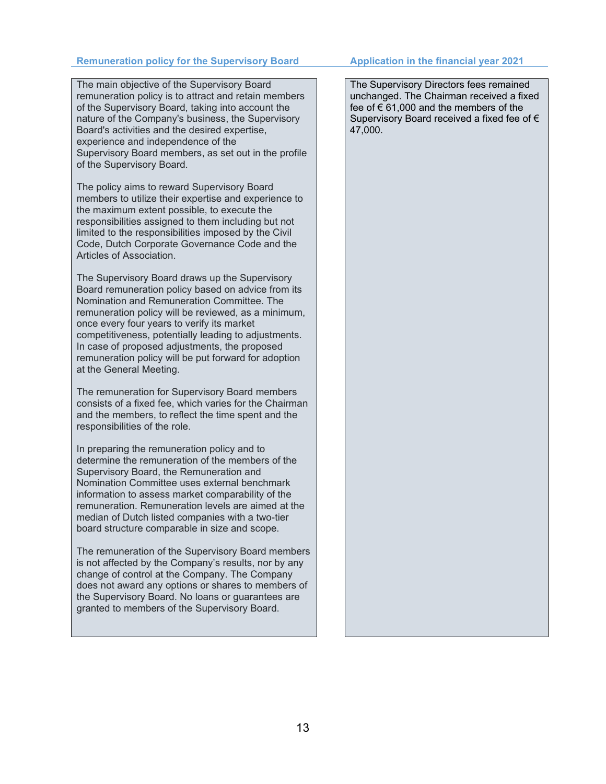# **Remuneration policy for the Supervisory Board Application in the financial year 2021**

The main objective of the Supervisory Board remuneration policy is to attract and retain members of the Supervisory Board, taking into account the nature of the Company's business, the Supervisory Board's activities and the desired expertise, experience and independence of the Supervisory Board members, as set out in the profile of the Supervisory Board.

The policy aims to reward Supervisory Board members to utilize their expertise and experience to the maximum extent possible, to execute the responsibilities assigned to them including but not limited to the responsibilities imposed by the Civil Code, Dutch Corporate Governance Code and the Articles of Association.

The Supervisory Board draws up the Supervisory Board remuneration policy based on advice from its Nomination and Remuneration Committee. The remuneration policy will be reviewed, as a minimum, once every four years to verify its market competitiveness, potentially leading to adjustments. In case of proposed adjustments, the proposed remuneration policy will be put forward for adoption at the General Meeting.

The remuneration for Supervisory Board members consists of a fixed fee, which varies for the Chairman and the members, to reflect the time spent and the responsibilities of the role.

In preparing the remuneration policy and to determine the remuneration of the members of the Supervisory Board, the Remuneration and Nomination Committee uses external benchmark information to assess market comparability of the remuneration. Remuneration levels are aimed at the median of Dutch listed companies with a two-tier board structure comparable in size and scope.

The remuneration of the Supervisory Board members is not affected by the Company's results, nor by any change of control at the Company. The Company does not award any options or shares to members of the Supervisory Board. No loans or guarantees are granted to members of the Supervisory Board.

The Supervisory Directors fees remained unchanged. The Chairman received a fixed fee of  $\epsilon$  61,000 and the members of the Supervisory Board received a fixed fee of € 47,000.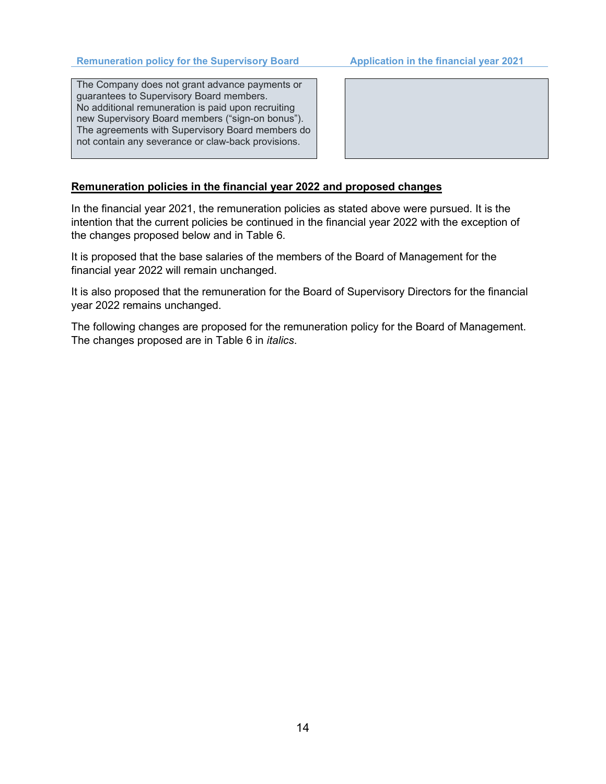The Company does not grant advance payments or guarantees to Supervisory Board members. No additional remuneration is paid upon recruiting new Supervisory Board members ("sign-on bonus"). The agreements with Supervisory Board members do not contain any severance or claw-back provisions.



# **Remuneration policies in the financial year 2022 and proposed changes**

In the financial year 2021, the remuneration policies as stated above were pursued. It is the intention that the current policies be continued in the financial year 2022 with the exception of the changes proposed below and in Table 6.

It is proposed that the base salaries of the members of the Board of Management for the financial year 2022 will remain unchanged.

It is also proposed that the remuneration for the Board of Supervisory Directors for the financial year 2022 remains unchanged.

The following changes are proposed for the remuneration policy for the Board of Management. The changes proposed are in Table 6 in *italics*.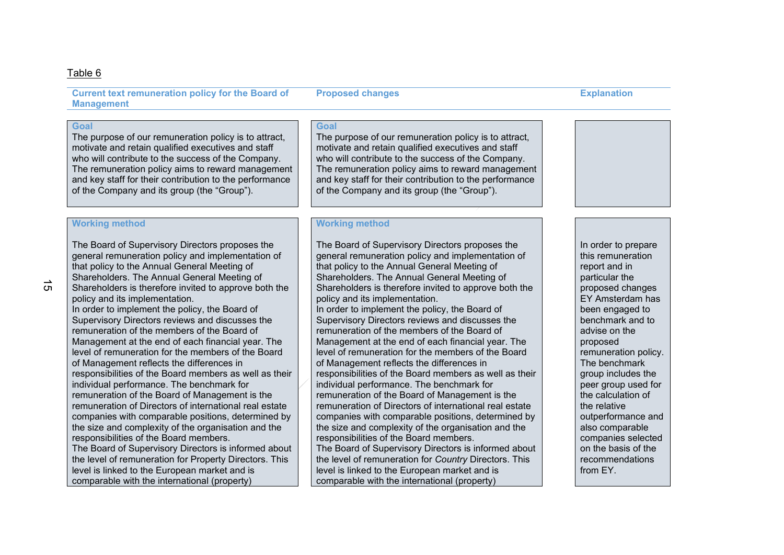### Table 6

**Current text remuneration policy for the Board of Management**

# **Goal**

The purpose of our remuneration policy is to attract, motivate and retain qualified executives and staff who will contribute to the success of the Company. The remuneration policy aims to reward management and key staff for their contribution to the performance of the Company and its group (the "Group").

# **Working method**

The Board of Supervisory Directors proposes the general remuneration policy and implementation of that policy to the Annual General Meeting of Shareholders. The Annual General Meeting of Shareholders is therefore invited to approve both the policy and its implementation. In order to implement the policy, the Board of Supervisory Directors reviews and discusses the remuneration of the members of the Board of Management at the end of each financial year. The level of remuneration for the members of the Board of Management reflects the differences in responsibilities of the Board members as well as their individual performance. The benchmark for remuneration of the Board of Management is the remuneration of Directors of international real estate companies with comparable positions, determined by the size and complexity of the organisation and the responsibilities of the Board members. The Board of Supervisory Directors is informed about the level of remuneration for Property Directors. This level is linked to the European market and is comparable with the international (property)

# **Goal**

The purpose of our remuneration policy is to attract, motivate and retain qualified executives and staff who will contribute to the success of the Company. The remuneration policy aims to reward management and key staff for their contribution to the performance of the Company and its group (the "Group").

# **Working method**

The Board of Supervisory Directors proposes the general remuneration policy and implementation of that policy to the Annual General Meeting of Shareholders. The Annual General Meeting of Shareholders is therefore invited to approve both the policy and its implementation. In order to implement the policy, the Board of Supervisory Directors reviews and discusses the remuneration of the members of the Board of Management at the end of each financial year. The level of remuneration for the members of the Board of Management reflects the differences in responsibilities of the Board members as well as their individual performance. The benchmark for remuneration of the Board of Management is the remuneration of Directors of international real estate companies with comparable positions, determined by the size and complexity of the organisation and the responsibilities of the Board members. The Board of Supervisory Directors is informed about the level of remuneration for *Country* Directors. This level is linked to the European market and is comparable with the international (property)

In order to prepare this remuneration report and in particular the proposed changes EY Amsterdam has been engaged to benchmark and to advise on the proposed remuneration policy. The benchmark group includes the peer group used for the calculation of the relative outperformance and also comparable companies selected on the basis of the recommendations from EY.

### **Proposed changes Explanation**

 $\sigma$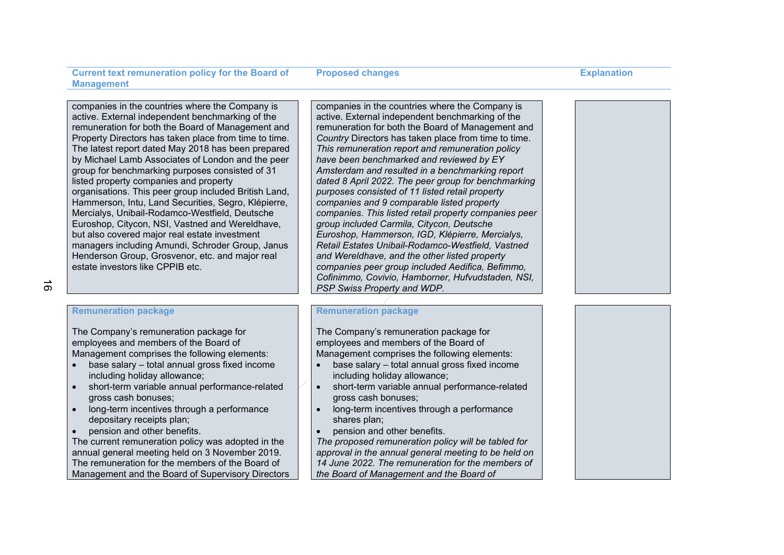**Proposed changes Explanation** 

companies in the countries where the Company is active. External independent benchmarking of the remuneration for both the Board of Management and Property Directors has taken place from time to time. The latest report dated May 2018 has been prepared by Michael Lamb Associates of London and the peer group for benchmarking purposes consisted of 31 listed property companies and property organisations. This peer group included British Land, Hammerson, Intu, Land Securities, Segro, Klépierre, Mercialys, Unibail-Rodamco-Westfield, Deutsche Euroshop, Citycon, NSI, Vastned and Wereldhave, but also covered major real estate investment managers including Amundi, Schroder Group, Janus Henderson Group, Grosvenor, etc. and major real estate investors like CPPIB etc.

 $\sigma$ 

# **Remuneration package**

The Company's remuneration package for employees and members of the Board of Management comprises the following elements:

- base salary total annual gross fixed income including holiday allowance;
- short-term variable annual performance-related gross cash bonuses;
- long-term incentives through a performance depositary receipts plan;
- pension and other benefits.

The current remuneration policy was adopted in the annual general meeting held on 3 November 2019. The remuneration for the members of the Board of Management and the Board of Supervisory Directors companies in the countries where the Company is active. External independent benchmarking of the remuneration for both the Board of Management and *Country* Directors has taken place from time to time. *This remuneration report and remuneration policy have been benchmarked and reviewed by EY Amsterdam and resulted in a benchmarking report dated 8 April 2022. The peer group for benchmarking purposes consisted of 11 listed retail property companies and 9 comparable listed property companies. This listed retail property companies peer group included Carmila, Citycon, Deutsche Euroshop, Hammerson, IGD, Klépierre, Mercialys, Retail Estates Unibail-Rodamco-Westfield, Vastned and Wereldhave, and the other listed property companies peer group included Aedifica, Befimmo, Cofinimmo, Covivio, Hamborner, Hufvudstaden, NSI, PSP Swiss Property and WDP.*

# **Remuneration package**

The Company's remuneration package for employees and members of the Board of Management comprises the following elements:

- base salary total annual gross fixed income including holiday allowance;
- short-term variable annual performance-related gross cash bonuses;
- long-term incentives through a performance shares plan;
- pension and other benefits.

*The proposed remuneration policy will be tabled for approval in the annual general meeting to be held on 14 June 2022. The remuneration for the members of the Board of Management and the Board of* 

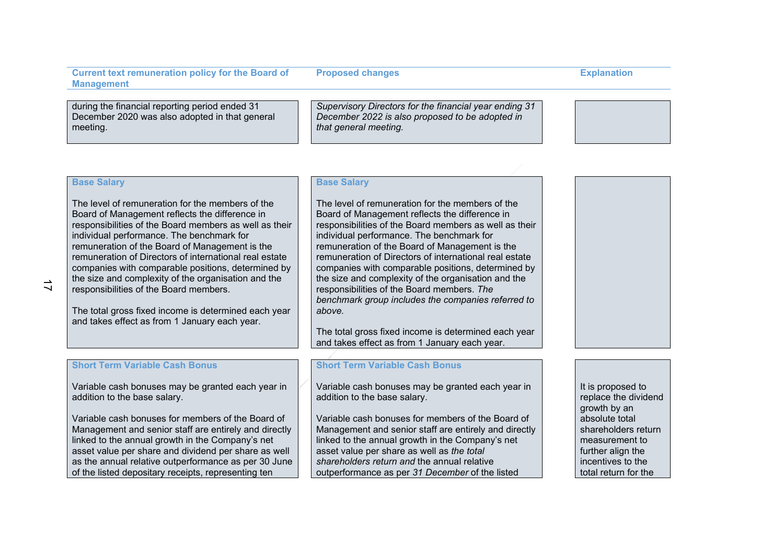during the financial reporting period ended 31 December 2020 was also adopted in that general meeting.

*Supervisory Directors for the financial year ending 31 December 2022 is also proposed to be adopted in that general meeting.*

# **Base Salary**

The level of remuneration for the members of the Board of Management reflects the difference in responsibilities of the Board members as well as their individual performance. The benchmark for remuneration of the Board of Management is the remuneration of Directors of international real estate companies with comparable positions, determined by the size and complexity of the organisation and the responsibilities of the Board members.

The total gross fixed income is determined each year and takes effect as from 1 January each year.

# **Base Salary**

The level of remuneration for the members of the Board of Management reflects the difference in responsibilities of the Board members as well as their individual performance. The benchmark for remuneration of the Board of Management is the remuneration of Directors of international real estate companies with comparable positions, determined by the size and complexity of the organisation and the responsibilities of the Board members. *The benchmark group includes the companies referred to above.*

The total gross fixed income is determined each year and takes effect as from 1 January each year.

# **Short Term Variable Cash Bonus**

Variable cash bonuses may be granted each year in addition to the base salary.

Variable cash bonuses for members of the Board of Management and senior staff are entirely and directly linked to the annual growth in the Company's net asset value per share and dividend per share as well as the annual relative outperformance as per 30 June of the listed depositary receipts, representing ten

### **Short Term Variable Cash Bonus**

Variable cash bonuses may be granted each year in addition to the base salary.

Variable cash bonuses for members of the Board of Management and senior staff are entirely and directly linked to the annual growth in the Company's net asset value per share as well as *the total shareholders return and* the annual relative outperformance as per *31 December* of the listed

It is proposed to replace the dividend growth by an absolute total shareholders return measurement to further align the incentives to the total return for the

**Proposed changes Explanation**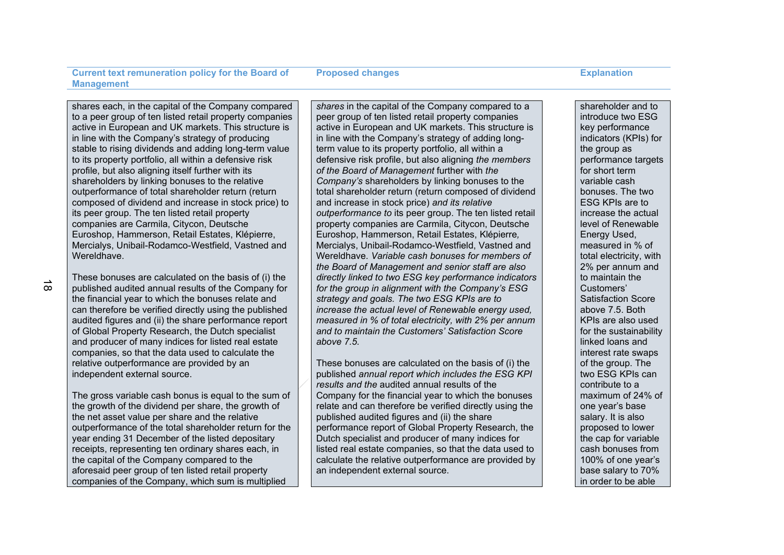**Proposed changes Explanation** 

shares each, in the capital of the Company compared to a peer group of ten listed retail property companies active in European and UK markets. This structure is in line with the Company's strategy of producing stable to rising dividends and adding long-term value to its property portfolio, all within a defensive risk profile, but also aligning itself further with its shareholders by linking bonuses to the relative outperformance of total shareholder return (return composed of dividend and increase in stock price) to its peer group. The ten listed retail property companies are Carmila, Citycon, Deutsche Euroshop, Hammerson, Retail Estates, Klépierre, Mercialys, Unibail-Rodamco-Westfield, Vastned and Wereldhave.

These bonuses are calculated on the basis of (i) the published audited annual results of the Company for the financial year to which the bonuses relate and can therefore be verified directly using the published audited figures and (ii) the share performance report of Global Property Research, the Dutch specialist and producer of many indices for listed real estate companies, so that the data used to calculate the relative outperformance are provided by an independent external source.

The gross variable cash bonus is equal to the sum of the growth of the dividend per share, the growth of the net asset value per share and the relative outperformance of the total shareholder return for the year ending 31 December of the listed depositary receipts, representing ten ordinary shares each, in the capital of the Company compared to the aforesaid peer group of ten listed retail property companies of the Company, which sum is multiplied

*shares* in the capital of the Company compared to a peer group of ten listed retail property companies active in European and UK markets. This structure is in line with the Company's strategy of adding longterm value to its property portfolio, all within a defensive risk profile, but also aligning *the members of the Board of Management* further with *the Company's* shareholders by linking bonuses to the total shareholder return (return composed of dividend and increase in stock price) *and its relative outperformance to* its peer group. The ten listed retail property companies are Carmila, Citycon, Deutsche Euroshop, Hammerson, Retail Estates, Klépierre*,*  Mercialys, Unibail-Rodamco-Westfield, Vastned and Wereldhave. *Variable cash bonuses for members of the Board of Management and senior staff are also directly linked to two ESG key performance indicators for the group in alignment with the Company's ESG strategy and goals. The two ESG KPIs are to increase the actual level of Renewable energy used, measured in % of total electricity, with 2% per annum and to maintain the Customers' Satisfaction Score above 7.5.*

These bonuses are calculated on the basis of (i) the published *annual report which includes the ESG KPI results and the* audited annual results of the Company for the financial year to which the bonuses relate and can therefore be verified directly using the published audited figures and (ii) the share performance report of Global Property Research, the Dutch specialist and producer of many indices for listed real estate companies, so that the data used to calculate the relative outperformance are provided by an independent external source.

shareholder and to introduce two ESG key performance indicators (KPIs) for the group as performance targets for short term variable cash bonuses. The two ESG KPIs are to increase the actual level of Renewable Energy Used, measured in % of total electricity, with 2% per annum and to maintain the Customers' Satisfaction Score above 7.5. Both KPIs are also used for the sustainability linked loans and interest rate swaps of the group. The two ESG KPIs can contribute to a maximum of 24% of one year's base salary. It is also proposed to lower the cap for variable cash bonuses from 100% of one year's base salary to 70% in order to be able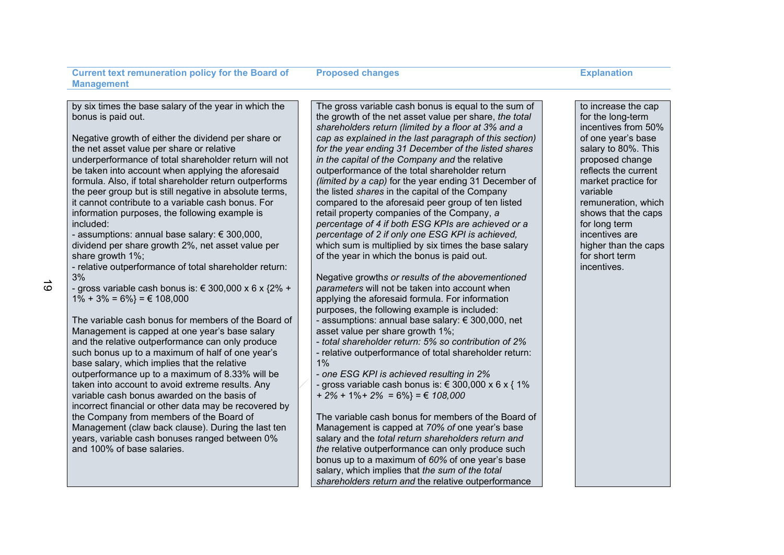**Proposed changes Explanation** 

by six times the base salary of the year in which the bonus is paid out.

Negative growth of either the dividend per share or the net asset value per share or relative underperformance of total shareholder return will not be taken into account when applying the aforesaid formula. Also, if total shareholder return outperforms the peer group but is still negative in absolute terms. it cannot contribute to a variable cash bonus. For information purposes, the following example is included:

- assumptions: annual base salary: € 300,000, dividend per share growth 2%, net asset value per share growth 1%;

- relative outperformance of total shareholder return: 3%

- gross variable cash bonus is: € 300,000 x 6 x  $\{2\% +$  $1\% + 3\% = 6\% = \text{\textsterling}108.000$ 

The variable cash bonus for members of the Board of Management is capped at one year's base salary and the relative outperformance can only produce such bonus up to a maximum of half of one year's base salary, which implies that the relative outperformance up to a maximum of 8.33% will be taken into account to avoid extreme results. Any variable cash bonus awarded on the basis of incorrect financial or other data may be recovered by the Company from members of the Board of Management (claw back clause). During the last ten years, variable cash bonuses ranged between 0% and 100% of base salaries.

The gross variable cash bonus is equal to the sum of the growth of the net asset value per share, *the total shareholders return (limited by a floor at 3% and a cap as explained in the last paragraph of this section) for the year ending 31 December of the listed shares in the capital of the Company and* the relative outperformance of the total shareholder return *(limited by a cap)* for the year ending 31 December of the listed *shares* in the capital of the Company compared to the aforesaid peer group of ten listed retail property companies of the Company, *a percentage of 4 if both ESG KPIs are achieved or a percentage of 2 if only one ESG KPI is achieved,*  which sum is multiplied by six times the base salary of the year in which the bonus is paid out.

Negative growth*s or results of the abovementioned parameters* will not be taken into account when applying the aforesaid formula. For information purposes, the following example is included: - assumptions: annual base salary: € 300,000, net asset value per share growth 1%;

- *total shareholder return: 5% so contribution of 2%* - relative outperformance of total shareholder return:

1%

- *one ESG KPI is achieved resulting in 2%*

*-* gross variable cash bonus is: € 300,000 x 6 x { 1% *+ 2%* + 1%*+ 2%* = 6%} = € *108,000*

The variable cash bonus for members of the Board of Management is capped at *70% of* one year's base salary and the *total return shareholders return and the* relative outperformance can only produce such bonus up to a maximum of *60%* of one year's base salary, which implies that *the sum of the total shareholders return and* the relative outperformance

to increase the cap for the long-term incentives from 50% of one year's base salary to 80%. This proposed change reflects the current market practice for variable remuneration, which shows that the caps for long term incentives are higher than the caps for short term incentives.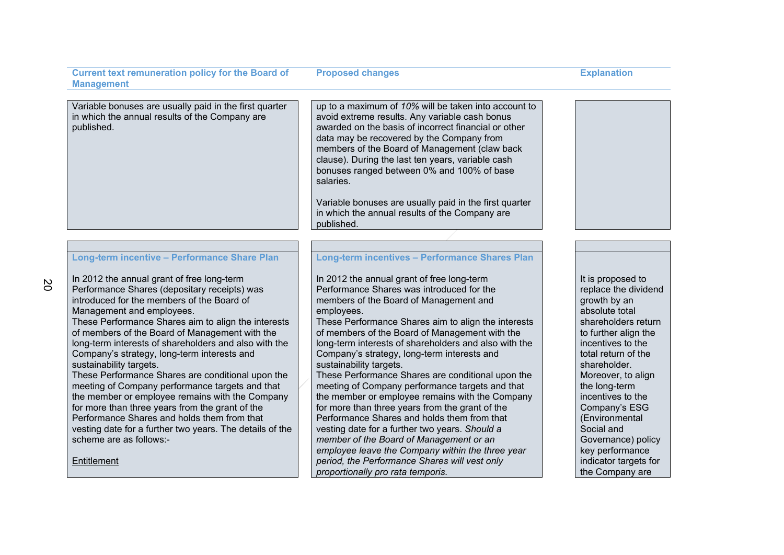Variable bonuses are usually paid in the first quarter in which the annual results of the Company are published.

up to a maximum of *10%* will be taken into account to avoid extreme results. Any variable cash bonus awarded on the basis of incorrect financial or other data may be recovered by the Company from members of the Board of Management (claw back clause). During the last ten years, variable cash bonuses ranged between 0% and 100% of base salaries.

Variable bonuses are usually paid in the first quarter in which the annual results of the Company are published.

### **Long-term incentive – Performance Share Plan**

In 2012 the annual grant of free long-term Performance Shares (depositary receipts) was introduced for the members of the Board of Management and employees. These Performance Shares aim to align the interests

of members of the Board of Management with the long-term interests of shareholders and also with the Company's strategy, long-term interests and sustainability targets.

These Performance Shares are conditional upon the meeting of Company performance targets and that the member or employee remains with the Company for more than three years from the grant of the Performance Shares and holds them from that vesting date for a further two years. The details of the scheme are as follows:-

**Entitlement** 

# **Long-term incentives – Performance Shares Plan**

In 2012 the annual grant of free long-term Performance Shares was introduced for the members of the Board of Management and employees.

These Performance Shares aim to align the interests of members of the Board of Management with the long-term interests of shareholders and also with the Company's strategy, long-term interests and sustainability targets.

These Performance Shares are conditional upon the meeting of Company performance targets and that the member or employee remains with the Company for more than three years from the grant of the Performance Shares and holds them from that vesting date for a further two years. *Should a member of the Board of Management or an employee leave the Company within the three year period, the Performance Shares will vest only proportionally pro rata temporis.*

It is proposed to replace the dividend growth by an absolute total shareholders return to further align the incentives to the total return of the shareholder. Moreover, to align the long-term incentives to the Company's ESG (Environmental Social and Governance) policy key performance indicator targets for the Company are

**Proposed changes Explanation** 



 $\tilde{z}$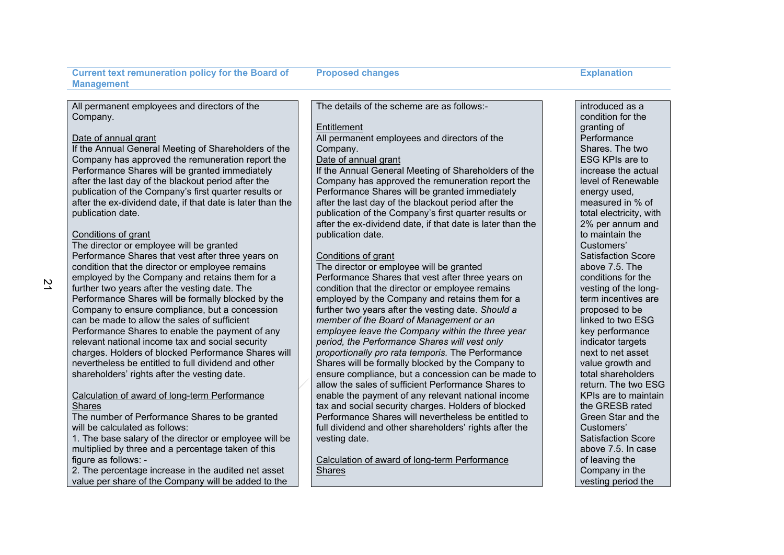**Proposed changes Explanation** 

All permanent employees and directors of the Company.

### Date of annual grant

If the Annual General Meeting of Shareholders of the Company has approved the remuneration report the Performance Shares will be granted immediately after the last day of the blackout period after the publication of the Company's first quarter results or after the ex-dividend date, if that date is later than the publication date.

### Conditions of grant

The director or employee will be granted Performance Shares that vest after three years on condition that the director or employee remains employed by the Company and retains them for a further two years after the vesting date. The Performance Shares will be formally blocked by the Company to ensure compliance, but a concession can be made to allow the sales of sufficient Performance Shares to enable the payment of any relevant national income tax and social security charges. Holders of blocked Performance Shares will nevertheless be entitled to full dividend and other shareholders' rights after the vesting date.

### Calculation of award of long-term Performance **Shares**

The number of Performance Shares to be granted will be calculated as follows:

1. The base salary of the director or employee will be multiplied by three and a percentage taken of this figure as follows: -

2. The percentage increase in the audited net asset value per share of the Company will be added to the The details of the scheme are as follows:-

### **Entitlement**

All permanent employees and directors of the Company.

# Date of annual grant

If the Annual General Meeting of Shareholders of the Company has approved the remuneration report the Performance Shares will be granted immediately after the last day of the blackout period after the publication of the Company's first quarter results or after the ex-dividend date, if that date is later than the publication date.

### Conditions of grant

The director or employee will be granted Performance Shares that vest after three years on condition that the director or employee remains employed by the Company and retains them for a further two years after the vesting date. *Should a member of the Board of Management or an employee leave the Company within the three year period, the Performance Shares will vest only proportionally pro rata temporis.* The Performance Shares will be formally blocked by the Company to ensure compliance, but a concession can be made to allow the sales of sufficient Performance Shares to enable the payment of any relevant national income tax and social security charges. Holders of blocked Performance Shares will nevertheless be entitled to full dividend and other shareholders' rights after the vesting date.

Calculation of award of long-term Performance **Shares** 

introduced as a condition for the granting of **Performance** Shares. The two ESG KPIs are to increase the actual level of Renewable energy used, measured in % of total electricity, with 2% per annum and to maintain the Customers' Satisfaction Score above 7.5. The conditions for the vesting of the longterm incentives are proposed to be linked to two ESG key performance indicator targets next to net asset value growth and total shareholders return. The two ESG KPIs are to maintain the GRESB rated Green Star and the Customers' Satisfaction Score above 7.5. In case of leaving the Company in the vesting period the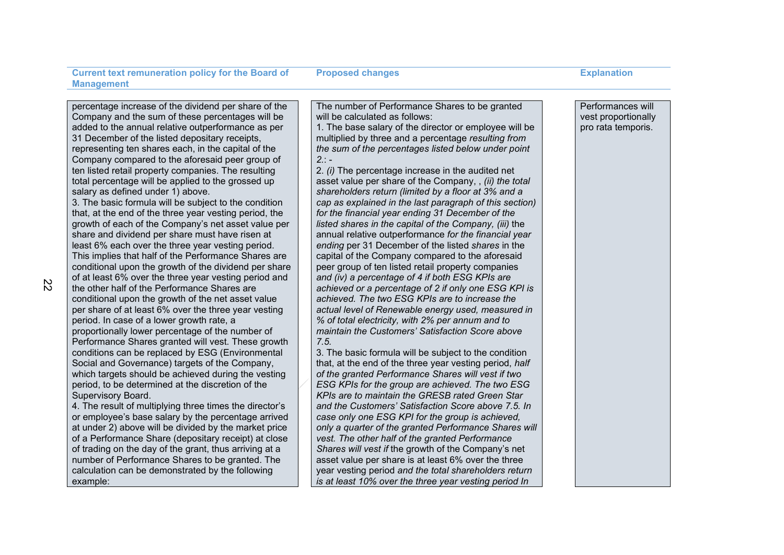**Proposed changes Explanation** 

percentage increase of the dividend per share of the Company and the sum of these percentages will be added to the annual relative outperformance as per 31 December of the listed depositary receipts, representing ten shares each, in the capital of the Company compared to the aforesaid peer group of ten listed retail property companies. The resulting total percentage will be applied to the grossed up salary as defined under 1) above.

3. The basic formula will be subject to the condition that, at the end of the three year vesting period, the growth of each of the Company's net asset value per share and dividend per share must have risen at least 6% each over the three year vesting period. This implies that half of the Performance Shares are conditional upon the growth of the dividend per share of at least 6% over the three year vesting period and the other half of the Performance Shares are conditional upon the growth of the net asset value per share of at least 6% over the three year vesting period. In case of a lower growth rate, a proportionally lower percentage of the number of Performance Shares granted will vest. These growth conditions can be replaced by ESG (Environmental Social and Governance) targets of the Company, which targets should be achieved during the vesting period, to be determined at the discretion of the Supervisory Board.

4. The result of multiplying three times the director's or employee's base salary by the percentage arrived at under 2) above will be divided by the market price of a Performance Share (depositary receipt) at close of trading on the day of the grant, thus arriving at a number of Performance Shares to be granted. The calculation can be demonstrated by the following example:

The number of Performance Shares to be granted will be calculated as follows:

1. The base salary of the director or employee will be multiplied by three and a percentage *resulting from the sum of the percentages listed below under point 2.*: -

2. *(i)* The percentage increase in the audited net asset value per share of the Company, , *(ii) the total shareholders return (limited by a floor at 3% and a cap as explained in the last paragraph of this section) for the financial year ending 31 December of the listed shares in the capital of the Company, (iii)* the annual relative outperformance *for the financial year ending* per 31 December of the listed *shares* in the capital of the Company compared to the aforesaid peer group of ten listed retail property companies *and (iv) a percentage of 4 if both ESG KPIs are achieved or a percentage of 2 if only one ESG KPI is achieved. The two ESG KPIs are to increase the actual level of Renewable energy used, measured in % of total electricity, with 2% per annum and to maintain the Customers' Satisfaction Score above 7.5.*

3. The basic formula will be subject to the condition that, at the end of the three year vesting period, *half of the granted Performance Shares will vest if two ESG KPIs for the group are achieved. The two ESG KPIs are to maintain the GRESB rated Green Star and the Customers' Satisfaction Score above 7.5. In case only one ESG KPI for the group is achieved, only a quarter of the granted Performance Shares will vest. The other half of the granted Performance Shares will vest if* the growth of the Company's net asset value per share is at least 6% over the three year vesting period *and the total shareholders return is at least 10% over the three year vesting period In* 

Performances will vest proportionally pro rata temporis.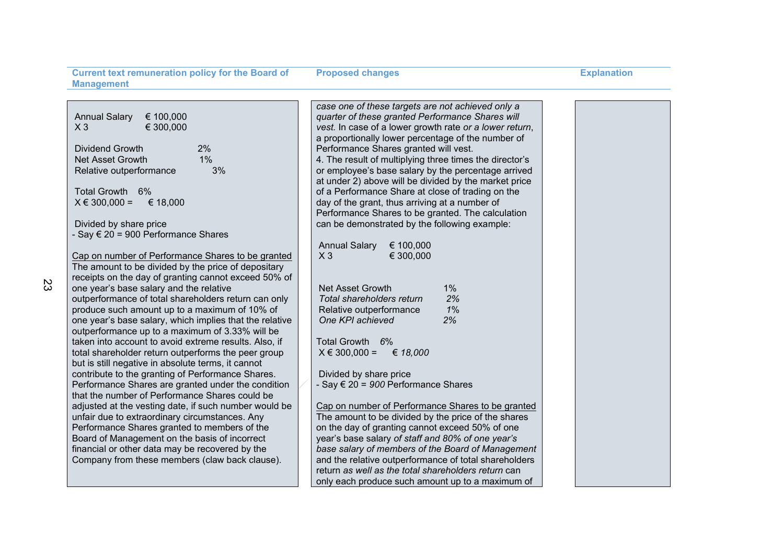**Proposed changes Explanation** 

|                                                         | case one of these targets are not achieved only a       |  |
|---------------------------------------------------------|---------------------------------------------------------|--|
| <b>Annual Salary</b><br>€ 100,000                       | quarter of these granted Performance Shares will        |  |
| € 300,000<br>$X_3$                                      | vest. In case of a lower growth rate or a lower return, |  |
|                                                         | a proportionally lower percentage of the number of      |  |
| Dividend Growth<br>2%                                   | Performance Shares granted will vest.                   |  |
| 1%<br>Net Asset Growth                                  | 4. The result of multiplying three times the director's |  |
| 3%<br>Relative outperformance                           | or employee's base salary by the percentage arrived     |  |
|                                                         | at under 2) above will be divided by the market price   |  |
| Total Growth 6%                                         | of a Performance Share at close of trading on the       |  |
| $X \in 300,000 =$<br>€ 18,000                           | day of the grant, thus arriving at a number of          |  |
|                                                         | Performance Shares to be granted. The calculation       |  |
| Divided by share price                                  | can be demonstrated by the following example:           |  |
| - Say € 20 = 900 Performance Shares                     |                                                         |  |
|                                                         | € 100,000<br><b>Annual Salary</b>                       |  |
| Cap on number of Performance Shares to be granted       | € 300,000<br>$X_3$                                      |  |
| The amount to be divided by the price of depositary     |                                                         |  |
| receipts on the day of granting cannot exceed 50% of    |                                                         |  |
| one year's base salary and the relative                 | <b>Net Asset Growth</b><br>1%                           |  |
| outperformance of total shareholders return can only    | 2%<br>Total shareholders return                         |  |
| produce such amount up to a maximum of 10% of           | 1%<br>Relative outperformance                           |  |
| one year's base salary, which implies that the relative | 2%<br>One KPI achieved                                  |  |
| outperformance up to a maximum of 3.33% will be         |                                                         |  |
| taken into account to avoid extreme results. Also, if   | Total Growth 6%                                         |  |
| total shareholder return outperforms the peer group     | € 18,000<br>$X \in 300,000 =$                           |  |
| but is still negative in absolute terms, it cannot      |                                                         |  |
| contribute to the granting of Performance Shares.       | Divided by share price                                  |  |
| Performance Shares are granted under the condition      | - Say € 20 = 900 Performance Shares                     |  |
| that the number of Performance Shares could be          |                                                         |  |
| adjusted at the vesting date, if such number would be   | Cap on number of Performance Shares to be granted       |  |
| unfair due to extraordinary circumstances. Any          | The amount to be divided by the price of the shares     |  |
| Performance Shares granted to members of the            | on the day of granting cannot exceed 50% of one         |  |
| Board of Management on the basis of incorrect           | year's base salary of staff and 80% of one year's       |  |
| financial or other data may be recovered by the         | base salary of members of the Board of Management       |  |
| Company from these members (claw back clause).          | and the relative outperformance of total shareholders   |  |
|                                                         | return as well as the total shareholders return can     |  |
|                                                         | only each produce such amount up to a maximum of        |  |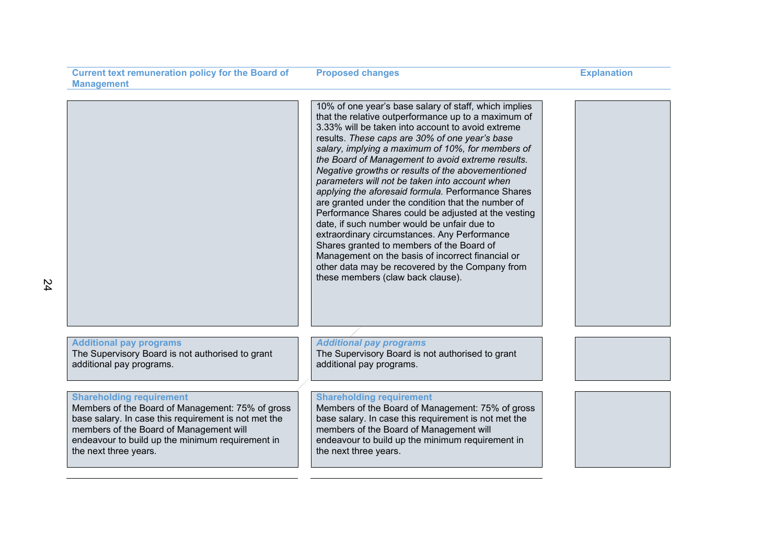| <b>Current text remuneration policy for the Board of</b>                                                                                                                                                                                                            | <b>Proposed changes</b>                                                                                                                                                                                                                                                                                                                                                                                                                                                                                                                                                                                                                                                                                                                                                                                                                                                                          | <b>Explanation</b> |
|---------------------------------------------------------------------------------------------------------------------------------------------------------------------------------------------------------------------------------------------------------------------|--------------------------------------------------------------------------------------------------------------------------------------------------------------------------------------------------------------------------------------------------------------------------------------------------------------------------------------------------------------------------------------------------------------------------------------------------------------------------------------------------------------------------------------------------------------------------------------------------------------------------------------------------------------------------------------------------------------------------------------------------------------------------------------------------------------------------------------------------------------------------------------------------|--------------------|
| <b>Management</b>                                                                                                                                                                                                                                                   |                                                                                                                                                                                                                                                                                                                                                                                                                                                                                                                                                                                                                                                                                                                                                                                                                                                                                                  |                    |
|                                                                                                                                                                                                                                                                     |                                                                                                                                                                                                                                                                                                                                                                                                                                                                                                                                                                                                                                                                                                                                                                                                                                                                                                  |                    |
|                                                                                                                                                                                                                                                                     | 10% of one year's base salary of staff, which implies<br>that the relative outperformance up to a maximum of<br>3.33% will be taken into account to avoid extreme<br>results. These caps are 30% of one year's base<br>salary, implying a maximum of 10%, for members of<br>the Board of Management to avoid extreme results.<br>Negative growths or results of the abovementioned<br>parameters will not be taken into account when<br>applying the aforesaid formula. Performance Shares<br>are granted under the condition that the number of<br>Performance Shares could be adjusted at the vesting<br>date, if such number would be unfair due to<br>extraordinary circumstances. Any Performance<br>Shares granted to members of the Board of<br>Management on the basis of incorrect financial or<br>other data may be recovered by the Company from<br>these members (claw back clause). |                    |
| <b>Additional pay programs</b><br>The Supervisory Board is not authorised to grant<br>additional pay programs.                                                                                                                                                      | <b>Additional pay programs</b><br>The Supervisory Board is not authorised to grant<br>additional pay programs.                                                                                                                                                                                                                                                                                                                                                                                                                                                                                                                                                                                                                                                                                                                                                                                   |                    |
| <b>Shareholding requirement</b><br>Members of the Board of Management: 75% of gross<br>base salary. In case this requirement is not met the<br>members of the Board of Management will<br>endeavour to build up the minimum requirement in<br>the next three years. | <b>Shareholding requirement</b><br>Members of the Board of Management: 75% of gross<br>base salary. In case this requirement is not met the<br>members of the Board of Management will<br>endeavour to build up the minimum requirement in<br>the next three years.                                                                                                                                                                                                                                                                                                                                                                                                                                                                                                                                                                                                                              |                    |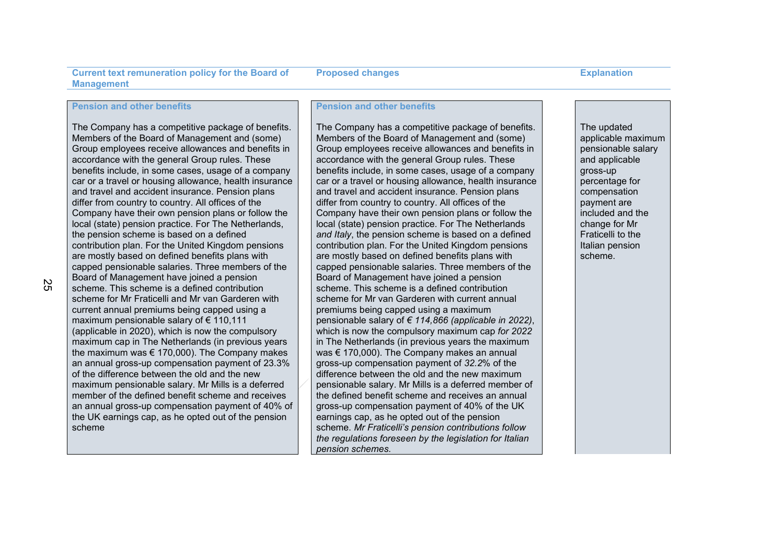### **Pension and other benefits**

The Company has a competitive package of benefits. Members of the Board of Management and (some) Group employees receive allowances and benefits in accordance with the general Group rules. These benefits include, in some cases, usage of a company car or a travel or housing allowance, health insurance and travel and accident insurance. Pension plans differ from country to country. All offices of the Company have their own pension plans or follow the local (state) pension practice. For The Netherlands, the pension scheme is based on a defined contribution plan. For the United Kingdom pensions are mostly based on defined benefits plans with capped pensionable salaries. Three members of the Board of Management have joined a pension scheme. This scheme is a defined contribution scheme for Mr Fraticelli and Mr van Garderen with current annual premiums being capped using a maximum pensionable salary of € 110,111 (applicable in 2020), which is now the compulsory maximum cap in The Netherlands (in previous years the maximum was  $\epsilon$  170,000). The Company makes an annual gross-up compensation payment of 23.3% of the difference between the old and the new maximum pensionable salary. Mr Mills is a deferred member of the defined benefit scheme and receives an annual gross-up compensation payment of 40% of the UK earnings cap, as he opted out of the pension scheme

### **Pension and other benefits**

The Company has a competitive package of benefits. Members of the Board of Management and (some) Group employees receive allowances and benefits in accordance with the general Group rules. These benefits include, in some cases, usage of a company car or a travel or housing allowance, health insurance and travel and accident insurance. Pension plans differ from country to country. All offices of the Company have their own pension plans or follow the local (state) pension practice. For The Netherlands *and Italy*, the pension scheme is based on a defined contribution plan. For the United Kingdom pensions are mostly based on defined benefits plans with capped pensionable salaries. Three members of the Board of Management have joined a pension scheme. This scheme is a defined contribution scheme for Mr van Garderen with current annual premiums being capped using a maximum pensionable salary of *€ 114,866 (applicable in 2022)*, which is now the compulsory maximum cap *for 2022* in The Netherlands (in previous years the maximum was € 170,000). The Company makes an annual gross-up compensation payment of *32.2*% of the difference between the old and the new maximum pensionable salary. Mr Mills is a deferred member of the defined benefit scheme and receives an annual gross-up compensation payment of 40% of the UK earnings cap, as he opted out of the pension scheme. *Mr Fraticelli's pension contributions follow the regulations foreseen by the legislation for Italian pension schemes.*

The updated applicable maximum pensionable salary and applicable gross-up percentage for compensation payment are included and the change for Mr Fraticelli to the Italian pension scheme.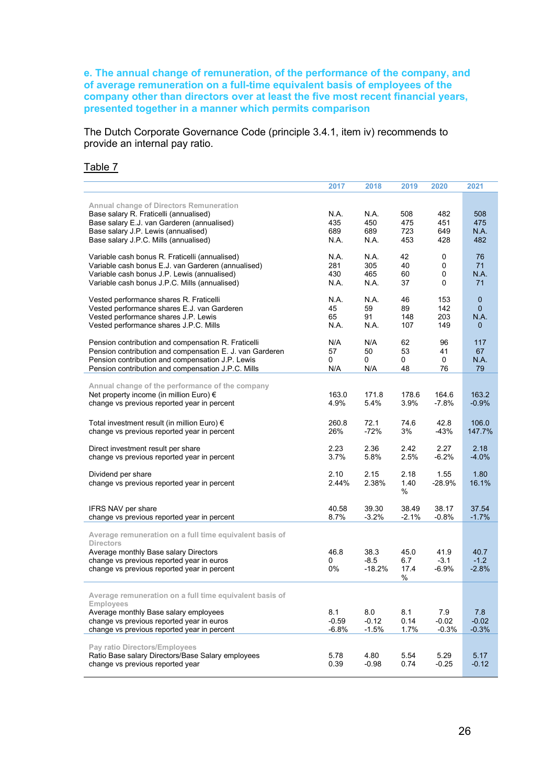# **e. The annual change of remuneration, of the performance of the company, and of average remuneration on a full-time equivalent basis of employees of the company other than directors over at least the five most recent financial years, presented together in a manner which permits comparison**

The Dutch Corporate Governance Code (principle 3.4.1, item iv) recommends to provide an internal pay ratio.

# Table 7

|                                                                                                                                                                                                                           | 2017                       | 2018                       | 2019                     | 2020                               | 2021                                                       |
|---------------------------------------------------------------------------------------------------------------------------------------------------------------------------------------------------------------------------|----------------------------|----------------------------|--------------------------|------------------------------------|------------------------------------------------------------|
| Annual change of Directors Remuneration<br>Base salary R. Fraticelli (annualised)<br>Base salary E.J. van Garderen (annualised)<br>Base salary J.P. Lewis (annualised)<br>Base salary J.P.C. Mills (annualised)           | N.A.<br>435<br>689<br>N.A. | N.A.<br>450<br>689<br>N.A. | 508<br>475<br>723<br>453 | 482<br>451<br>649<br>428           | 508<br>475<br>N.A.<br>482                                  |
| Variable cash bonus R. Fraticelli (annualised)<br>Variable cash bonus E.J. van Garderen (annualised)<br>Variable cash bonus J.P. Lewis (annualised)<br>Variable cash bonus J.P.C. Mills (annualised)                      | N.A.<br>281<br>430<br>N.A. | N.A.<br>305<br>465<br>N.A. | 42<br>40<br>60<br>37     | 0<br>$\pmb{0}$<br>$\mathbf 0$<br>0 | 76<br>71<br>N.A.<br>71                                     |
| Vested performance shares R. Fraticelli<br>Vested performance shares E.J. van Garderen<br>Vested performance shares J.P. Lewis<br>Vested performance shares J.P.C. Mills                                                  | N.A.<br>45<br>65<br>N.A.   | N.A.<br>59<br>91<br>N.A.   | 46<br>89<br>148<br>107   | 153<br>142<br>203<br>149           | $\mathbf 0$<br>$\mathbf{0}$<br><b>N.A.</b><br>$\mathbf{0}$ |
| Pension contribution and compensation R. Fraticelli<br>Pension contribution and compensation E. J. van Garderen<br>Pension contribution and compensation J.P. Lewis<br>Pension contribution and compensation J.P.C. Mills | N/A<br>57<br>0<br>N/A      | N/A<br>50<br>0<br>N/A      | 62<br>53<br>0<br>48      | 96<br>41<br>0<br>76                | 117<br>67<br>N.A.<br>79                                    |
| Annual change of the performance of the company<br>Net property income (in million Euro) €<br>change vs previous reported year in percent                                                                                 | 163.0<br>4.9%              | 171.8<br>5.4%              | 178.6<br>3.9%            | 164.6<br>$-7.8%$                   | 163.2<br>$-0.9%$                                           |
| Total investment result (in million Euro) €<br>change vs previous reported year in percent                                                                                                                                | 260.8<br>26%               | 72.1<br>$-72%$             | 74.6<br>3%               | 42.8<br>$-43%$                     | 106.0<br>147.7%                                            |
| Direct investment result per share<br>change vs previous reported year in percent                                                                                                                                         | 2.23<br>3.7%               | 2.36<br>5.8%               | 2.42<br>2.5%             | 2.27<br>$-6.2%$                    | 2.18<br>$-4.0%$                                            |
| Dividend per share<br>change vs previous reported year in percent                                                                                                                                                         | 2.10<br>2.44%              | 2.15<br>2.38%              | 2.18<br>1.40<br>$\%$     | 1.55<br>$-28.9%$                   | 1.80<br>16.1%                                              |
| IFRS NAV per share<br>change vs previous reported year in percent                                                                                                                                                         | 40.58<br>8.7%              | 39.30<br>$-3.2%$           | 38.49<br>$-2.1%$         | 38.17<br>$-0.8%$                   | 37.54<br>$-1.7%$                                           |
| Average remuneration on a full time equivalent basis of<br><b>Directors</b>                                                                                                                                               |                            |                            |                          |                                    |                                                            |
| Average monthly Base salary Directors<br>change vs previous reported year in euros<br>change vs previous reported year in percent                                                                                         | 46.8<br>0<br>0%            | 38.3<br>$-8.5$<br>$-18.2%$ | 45.0<br>6.7<br>17.4<br>% | 41.9<br>$-3.1$<br>$-6.9%$          | 40.7<br>$-1.2$<br>$-2.8%$                                  |
| Average remuneration on a full time equivalent basis of<br><b>Employees</b><br>Average monthly Base salary employees<br>change vs previous reported year in euros<br>change vs previous reported year in percent          | 8.1<br>$-0.59$<br>$-6.8%$  | 8.0<br>$-0.12$<br>$-1.5%$  | 8.1<br>0.14<br>1.7%      | 7.9<br>$-0.02$<br>$-0.3%$          | 7.8<br>$-0.02$<br>$-0.3%$                                  |
| Pay ratio Directors/Employees<br>Ratio Base salary Directors/Base Salary employees<br>change vs previous reported year                                                                                                    | 5.78<br>0.39               | 4.80<br>$-0.98$            | 5.54<br>0.74             | 5.29<br>$-0.25$                    | 5.17<br>$-0.12$                                            |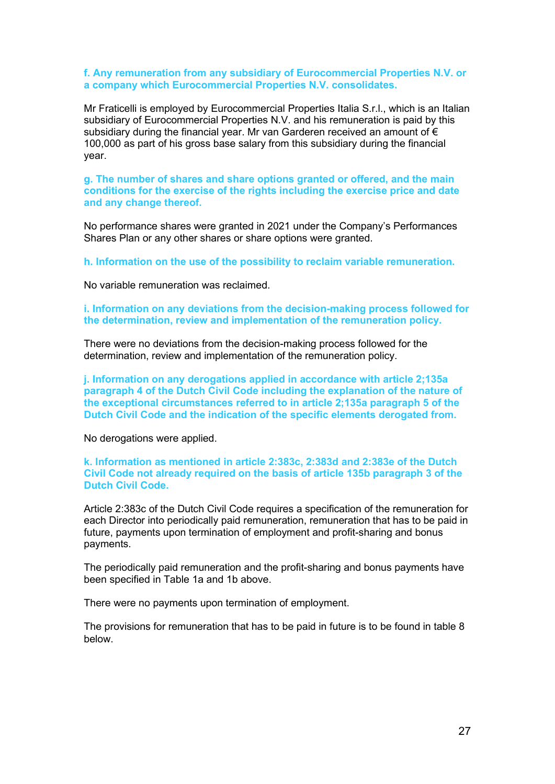# **f. Any remuneration from any subsidiary of Eurocommercial Properties N.V. or a company which Eurocommercial Properties N.V. consolidates.**

Mr Fraticelli is employed by Eurocommercial Properties Italia S.r.l., which is an Italian subsidiary of Eurocommercial Properties N.V. and his remuneration is paid by this subsidiary during the financial year. Mr van Garderen received an amount of € 100,000 as part of his gross base salary from this subsidiary during the financial year.

# **g. The number of shares and share options granted or offered, and the main conditions for the exercise of the rights including the exercise price and date and any change thereof.**

No performance shares were granted in 2021 under the Company's Performances Shares Plan or any other shares or share options were granted.

**h. Information on the use of the possibility to reclaim variable remuneration.**

No variable remuneration was reclaimed.

**i. Information on any deviations from the decision-making process followed for the determination, review and implementation of the remuneration policy.**

There were no deviations from the decision-making process followed for the determination, review and implementation of the remuneration policy.

**j. Information on any derogations applied in accordance with article 2;135a paragraph 4 of the Dutch Civil Code including the explanation of the nature of the exceptional circumstances referred to in article 2;135a paragraph 5 of the Dutch Civil Code and the indication of the specific elements derogated from.**

No derogations were applied.

**k. Information as mentioned in article 2:383c, 2:383d and 2:383e of the Dutch Civil Code not already required on the basis of article 135b paragraph 3 of the Dutch Civil Code.**

Article 2:383c of the Dutch Civil Code requires a specification of the remuneration for each Director into periodically paid remuneration, remuneration that has to be paid in future, payments upon termination of employment and profit-sharing and bonus payments.

The periodically paid remuneration and the profit-sharing and bonus payments have been specified in Table 1a and 1b above.

There were no payments upon termination of employment.

The provisions for remuneration that has to be paid in future is to be found in table 8 below.